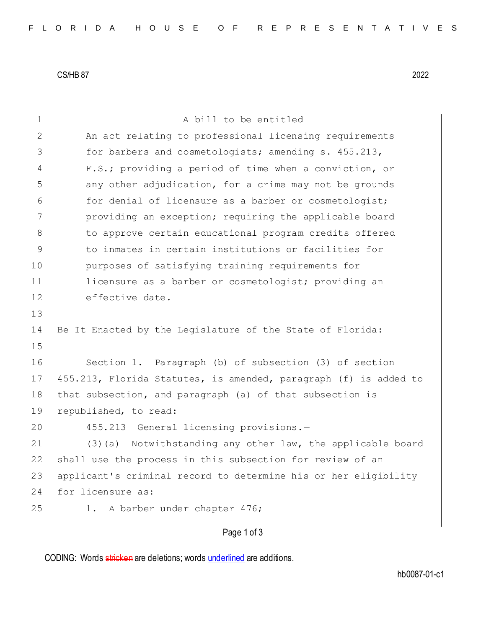CS/HB 87 2022

| 1           | A bill to be entitled                                            |
|-------------|------------------------------------------------------------------|
| 2           | An act relating to professional licensing requirements           |
| 3           | for barbers and cosmetologists; amending s. 455.213,             |
| 4           | F.S.; providing a period of time when a conviction, or           |
| 5           | any other adjudication, for a crime may not be grounds           |
| 6           | for denial of licensure as a barber or cosmetologist;            |
| 7           | providing an exception; requiring the applicable board           |
| 8           | to approve certain educational program credits offered           |
| $\mathsf 9$ | to inmates in certain institutions or facilities for             |
| 10          | purposes of satisfying training requirements for                 |
| 11          | licensure as a barber or cosmetologist; providing an             |
| 12          | effective date.                                                  |
| 13          |                                                                  |
| 14          | Be It Enacted by the Legislature of the State of Florida:        |
| 15          |                                                                  |
| 16          | Section 1. Paragraph (b) of subsection (3) of section            |
| 17          | 455.213, Florida Statutes, is amended, paragraph (f) is added to |
| 18          | that subsection, and paragraph (a) of that subsection is         |
| 19          |                                                                  |
|             | republished, to read:                                            |
| 20          | 455.213 General licensing provisions.-                           |
| 21          | Notwithstanding any other law, the applicable board<br>$(3)$ (a) |
| 22          | shall use the process in this subsection for review of an        |
| 23          | applicant's criminal record to determine his or her eligibility  |
| 24          | for licensure as:                                                |
| 25          | A barber under chapter 476;<br>1.                                |
|             | Page 1 of 3                                                      |

CODING: Words stricken are deletions; words underlined are additions.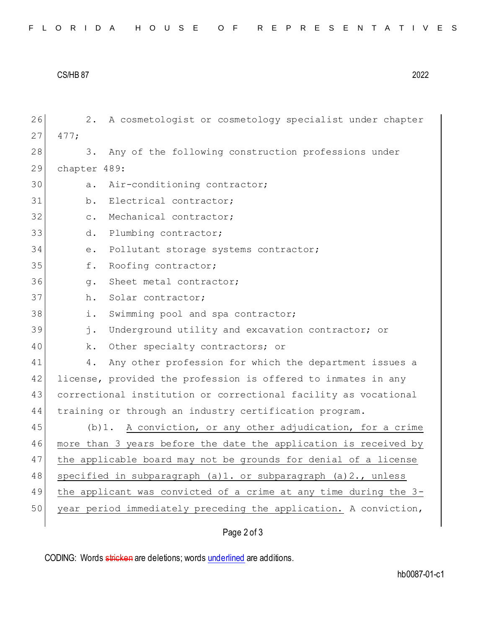| FLORIDA HOUSE OF REPRESENTATIVES |
|----------------------------------|
|----------------------------------|

CS/HB 87 2022

| 26 | 2.                                                               | A cosmetologist or cosmetology specialist under chapter          |  |  |
|----|------------------------------------------------------------------|------------------------------------------------------------------|--|--|
| 27 | 477;                                                             |                                                                  |  |  |
| 28 | 3.                                                               | Any of the following construction professions under              |  |  |
| 29 | chapter 489:                                                     |                                                                  |  |  |
| 30 | a.                                                               | Air-conditioning contractor;                                     |  |  |
| 31 | b.                                                               | Electrical contractor;                                           |  |  |
| 32 | $\circ$ .                                                        | Mechanical contractor;                                           |  |  |
| 33 | d.                                                               | Plumbing contractor;                                             |  |  |
| 34 | $e$ .                                                            | Pollutant storage systems contractor;                            |  |  |
| 35 | f.                                                               | Roofing contractor;                                              |  |  |
| 36 | $q$ .                                                            | Sheet metal contractor;                                          |  |  |
| 37 | h.                                                               | Solar contractor;                                                |  |  |
| 38 | i.                                                               | Swimming pool and spa contractor;                                |  |  |
| 39 | j.                                                               | Underground utility and excavation contractor; or                |  |  |
| 40 | k.                                                               | Other specialty contractors; or                                  |  |  |
| 41 | 4.                                                               | Any other profession for which the department issues a           |  |  |
| 42 |                                                                  | license, provided the profession is offered to inmates in any    |  |  |
| 43 |                                                                  | correctional institution or correctional facility as vocational  |  |  |
| 44 |                                                                  | training or through an industry certification program.           |  |  |
| 45 | $(b)1$ .                                                         | A conviction, or any other adjudication, for a crime             |  |  |
| 46 |                                                                  | more than 3 years before the date the application is received by |  |  |
| 47 |                                                                  | the applicable board may not be grounds for denial of a license  |  |  |
| 48 | specified in subparagraph (a)1. or subparagraph (a)2., unless    |                                                                  |  |  |
| 49 | the applicant was convicted of a crime at any time during the 3- |                                                                  |  |  |
| 50 | year period immediately preceding the application. A conviction, |                                                                  |  |  |
|    |                                                                  | Page 2 of 3                                                      |  |  |

CODING: Words stricken are deletions; words underlined are additions.